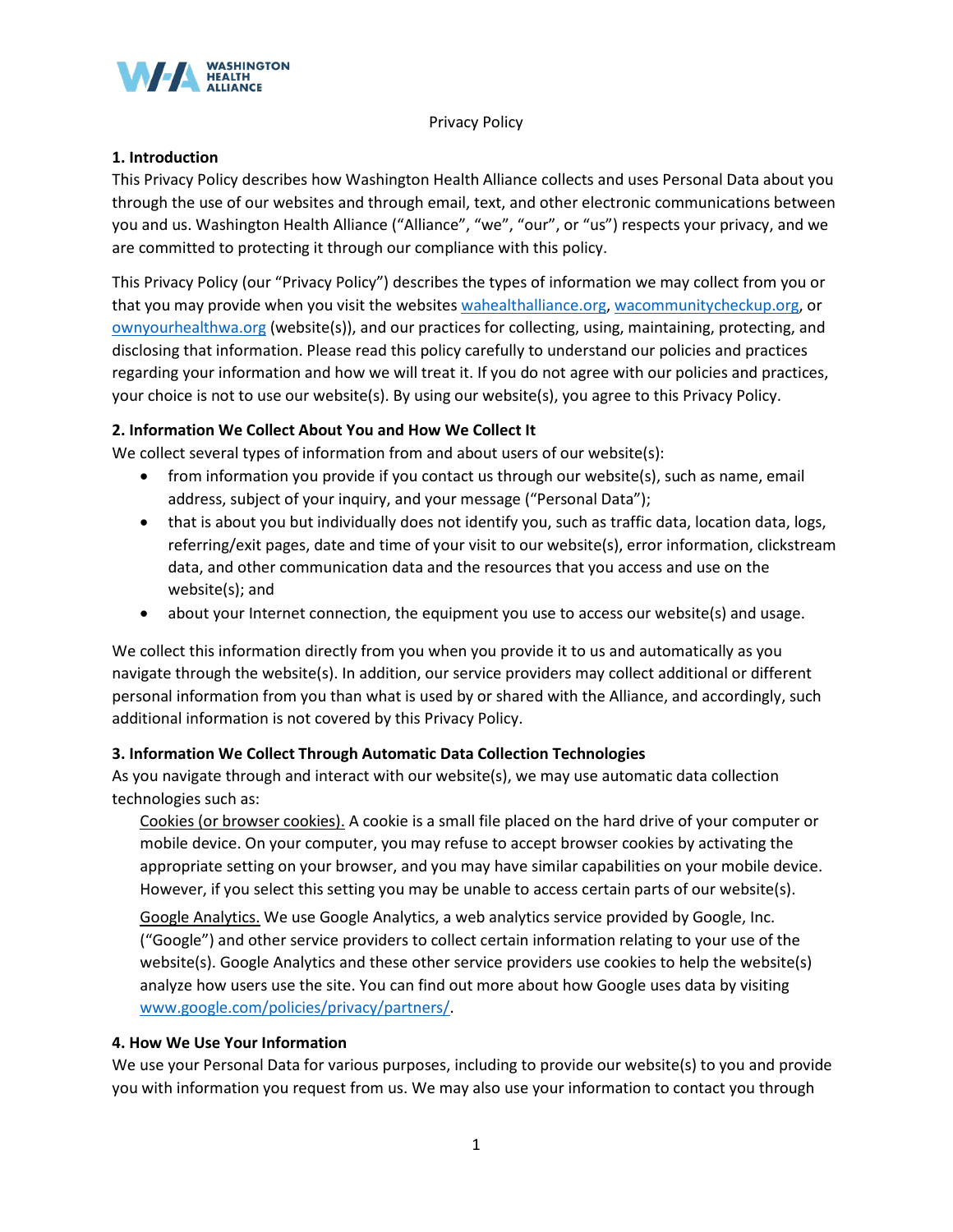

Privacy Policy

## **1. Introduction**

This Privacy Policy describes how Washington Health Alliance collects and uses Personal Data about you through the use of our websites and through email, text, and other electronic communications between you and us. Washington Health Alliance ("Alliance", "we", "our", or "us") respects your privacy, and we are committed to protecting it through our compliance with this policy.

This Privacy Policy (our "Privacy Policy") describes the types of information we may collect from you or that you may provide when you visit the websites [wahealthalliance.org,](http://www.wahealthalliance.org/) [wacommunitycheckup.org,](http://www.wacommunitycheckup.org/) or [ownyourhealthwa.org](http://www.ownyourhealthwa.org/) (website(s)), and our practices for collecting, using, maintaining, protecting, and disclosing that information. Please read this policy carefully to understand our policies and practices regarding your information and how we will treat it. If you do not agree with our policies and practices, your choice is not to use our website(s). By using our website(s), you agree to this Privacy Policy.

# **2. Information We Collect About You and How We Collect It**

We collect several types of information from and about users of our website(s):

- from information you provide if you contact us through our website(s), such as name, email address, subject of your inquiry, and your message ("Personal Data");
- that is about you but individually does not identify you, such as traffic data, location data, logs, referring/exit pages, date and time of your visit to our website(s), error information, clickstream data, and other communication data and the resources that you access and use on the website(s); and
- about your Internet connection, the equipment you use to access our website(s) and usage.

We collect this information directly from you when you provide it to us and automatically as you navigate through the website(s). In addition, our service providers may collect additional or different personal information from you than what is used by or shared with the Alliance, and accordingly, such additional information is not covered by this Privacy Policy.

# **3. Information We Collect Through Automatic Data Collection Technologies**

As you navigate through and interact with our website(s), we may use automatic data collection technologies such as:

Cookies (or browser cookies). A cookie is a small file placed on the hard drive of your computer or mobile device. On your computer, you may refuse to accept browser cookies by activating the appropriate setting on your browser, and you may have similar capabilities on your mobile device. However, if you select this setting you may be unable to access certain parts of our website(s).

Google Analytics. We use Google Analytics, a web analytics service provided by Google, Inc. ("Google") and other service providers to collect certain information relating to your use of the website(s). Google Analytics and these other service providers use cookies to help the website(s) analyze how users use the site. You can find out more about how Google uses data by visiting [www.google.com/policies/privacy/partners/.](http://www.google.com/policies/privacy/partners/)

## **4. How We Use Your Information**

We use your Personal Data for various purposes, including to provide our website(s) to you and provide you with information you request from us. We may also use your information to contact you through